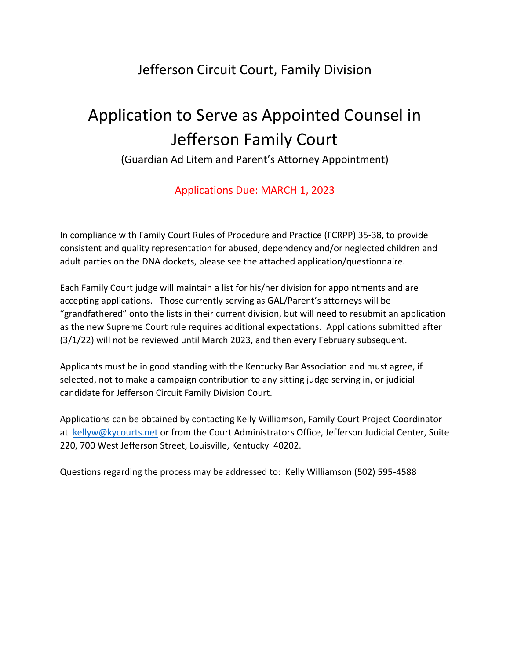## Jefferson Circuit Court, Family Division

## Application to Serve as Appointed Counsel in Jefferson Family Court

(Guardian Ad Litem and Parent's Attorney Appointment)

## Applications Due: MARCH 1, 2023

In compliance with Family Court Rules of Procedure and Practice (FCRPP) 35-38, to provide consistent and quality representation for abused, dependency and/or neglected children and adult parties on the DNA dockets, please see the attached application/questionnaire.

Each Family Court judge will maintain a list for his/her division for appointments and are accepting applications. Those currently serving as GAL/Parent's attorneys will be "grandfathered" onto the lists in their current division, but will need to resubmit an application as the new Supreme Court rule requires additional expectations. Applications submitted after (3/1/22) will not be reviewed until March 2023, and then every February subsequent.

Applicants must be in good standing with the Kentucky Bar Association and must agree, if selected, not to make a campaign contribution to any sitting judge serving in, or judicial candidate for Jefferson Circuit Family Division Court.

Applications can be obtained by contacting Kelly Williamson, Family Court Project Coordinator at [kellyw@kycourts.net](mailto:kellyw@kycourts.net) or from the Court Administrators Office, Jefferson Judicial Center, Suite 220, 700 West Jefferson Street, Louisville, Kentucky 40202.

Questions regarding the process may be addressed to: Kelly Williamson (502) 595-4588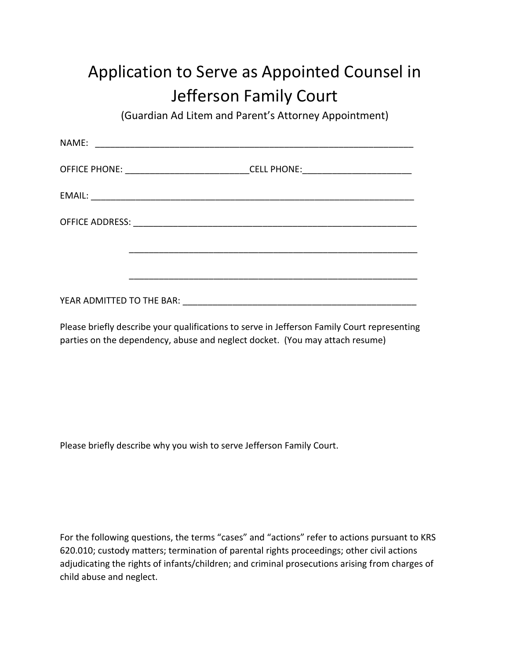## Application to Serve as Appointed Counsel in Jefferson Family Court

(Guardian Ad Litem and Parent's Attorney Appointment)

| NAME:                     |                                                                      |                                     |  |
|---------------------------|----------------------------------------------------------------------|-------------------------------------|--|
| <b>OFFICE PHONE:</b>      |                                                                      | CELL PHONE: _______________________ |  |
| EMAIL:                    | <u> 1980 - Johann Barn, mars an t-Amerikaansk politiker (* 1908)</u> |                                     |  |
|                           |                                                                      |                                     |  |
|                           |                                                                      |                                     |  |
|                           |                                                                      |                                     |  |
| YEAR ADMITTED TO THE BAR: |                                                                      |                                     |  |

Please briefly describe your qualifications to serve in Jefferson Family Court representing parties on the dependency, abuse and neglect docket. (You may attach resume)

Please briefly describe why you wish to serve Jefferson Family Court.

For the following questions, the terms "cases" and "actions" refer to actions pursuant to KRS 620.010; custody matters; termination of parental rights proceedings; other civil actions adjudicating the rights of infants/children; and criminal prosecutions arising from charges of child abuse and neglect.